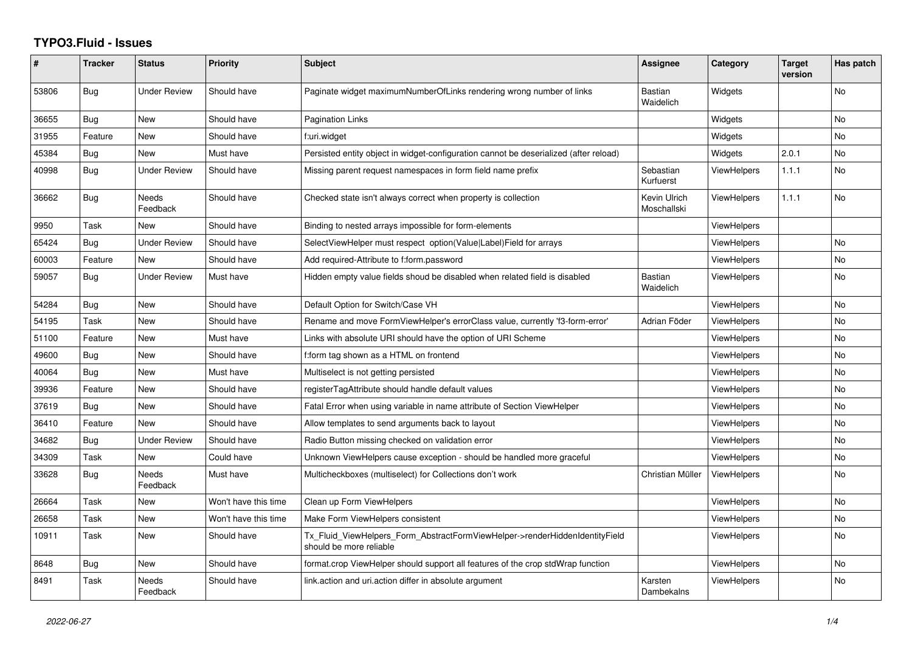## **TYPO3.Fluid - Issues**

| #     | <b>Tracker</b> | <b>Status</b>            | <b>Priority</b>      | Subject                                                                                                | Assignee                    | Category           | <b>Target</b><br>version | Has patch      |
|-------|----------------|--------------------------|----------------------|--------------------------------------------------------------------------------------------------------|-----------------------------|--------------------|--------------------------|----------------|
| 53806 | <b>Bug</b>     | <b>Under Review</b>      | Should have          | Paginate widget maximumNumberOfLinks rendering wrong number of links                                   | <b>Bastian</b><br>Waidelich | Widgets            |                          | <b>No</b>      |
| 36655 | <b>Bug</b>     | <b>New</b>               | Should have          | <b>Pagination Links</b>                                                                                |                             | Widgets            |                          | N <sub>o</sub> |
| 31955 | Feature        | New                      | Should have          | f:uri.widget                                                                                           |                             | Widgets            |                          | No             |
| 45384 | Bug            | <b>New</b>               | Must have            | Persisted entity object in widget-configuration cannot be deserialized (after reload)                  |                             | Widgets            | 2.0.1                    | No             |
| 40998 | Bug            | <b>Under Review</b>      | Should have          | Missing parent request namespaces in form field name prefix                                            | Sebastian<br>Kurfuerst      | <b>ViewHelpers</b> | 1.1.1                    | N <sub>o</sub> |
| 36662 | Bug            | <b>Needs</b><br>Feedback | Should have          | Checked state isn't always correct when property is collection                                         | Kevin Ulrich<br>Moschallski | <b>ViewHelpers</b> | 1.1.1                    | No             |
| 9950  | Task           | New                      | Should have          | Binding to nested arrays impossible for form-elements                                                  |                             | ViewHelpers        |                          |                |
| 65424 | Bug            | <b>Under Review</b>      | Should have          | SelectViewHelper must respect option(Value Label)Field for arrays                                      |                             | <b>ViewHelpers</b> |                          | No             |
| 60003 | Feature        | New                      | Should have          | Add required-Attribute to f:form.password                                                              |                             | <b>ViewHelpers</b> |                          | No             |
| 59057 | Bug            | <b>Under Review</b>      | Must have            | Hidden empty value fields shoud be disabled when related field is disabled                             | Bastian<br>Waidelich        | ViewHelpers        |                          | No             |
| 54284 | Bug            | New                      | Should have          | Default Option for Switch/Case VH                                                                      |                             | <b>ViewHelpers</b> |                          | No             |
| 54195 | Task           | <b>New</b>               | Should have          | Rename and move FormViewHelper's errorClass value, currently 'f3-form-error'                           | Adrian Föder                | <b>ViewHelpers</b> |                          | No             |
| 51100 | Feature        | <b>New</b>               | Must have            | Links with absolute URI should have the option of URI Scheme                                           |                             | <b>ViewHelpers</b> |                          | No             |
| 49600 | Bug            | <b>New</b>               | Should have          | f:form tag shown as a HTML on frontend                                                                 |                             | <b>ViewHelpers</b> |                          | No             |
| 40064 | Bug            | <b>New</b>               | Must have            | Multiselect is not getting persisted                                                                   |                             | <b>ViewHelpers</b> |                          | N <sub>o</sub> |
| 39936 | Feature        | New                      | Should have          | registerTagAttribute should handle default values                                                      |                             | ViewHelpers        |                          | No             |
| 37619 | Bug            | New                      | Should have          | Fatal Error when using variable in name attribute of Section ViewHelper                                |                             | <b>ViewHelpers</b> |                          | No             |
| 36410 | Feature        | <b>New</b>               | Should have          | Allow templates to send arguments back to layout                                                       |                             | <b>ViewHelpers</b> |                          | N <sub>o</sub> |
| 34682 | Bug            | <b>Under Review</b>      | Should have          | Radio Button missing checked on validation error                                                       |                             | <b>ViewHelpers</b> |                          | No             |
| 34309 | Task           | <b>New</b>               | Could have           | Unknown ViewHelpers cause exception - should be handled more graceful                                  |                             | <b>ViewHelpers</b> |                          | No             |
| 33628 | Bug            | <b>Needs</b><br>Feedback | Must have            | Multicheckboxes (multiselect) for Collections don't work                                               | Christian Müller            | <b>ViewHelpers</b> |                          | No             |
| 26664 | Task           | New                      | Won't have this time | Clean up Form ViewHelpers                                                                              |                             | <b>ViewHelpers</b> |                          | No             |
| 26658 | Task           | <b>New</b>               | Won't have this time | Make Form ViewHelpers consistent                                                                       |                             | <b>ViewHelpers</b> |                          | No             |
| 10911 | Task           | New                      | Should have          | Tx Fluid ViewHelpers Form AbstractFormViewHelper->renderHiddenIdentityField<br>should be more reliable |                             | ViewHelpers        |                          | No             |
| 8648  | Bug            | New                      | Should have          | format.crop ViewHelper should support all features of the crop stdWrap function                        |                             | <b>ViewHelpers</b> |                          | No             |
| 8491  | Task           | Needs<br>Feedback        | Should have          | link.action and uri.action differ in absolute argument                                                 | Karsten<br>Dambekalns       | <b>ViewHelpers</b> |                          | No             |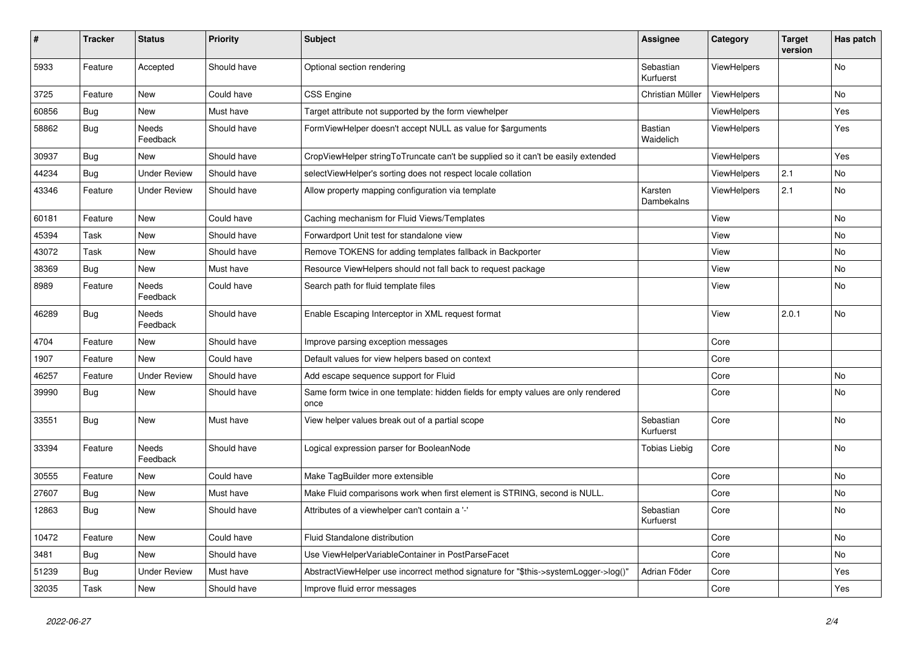| #     | <b>Tracker</b> | <b>Status</b>            | <b>Priority</b> | <b>Subject</b>                                                                            | Assignee               | Category           | <b>Target</b><br>version | Has patch      |
|-------|----------------|--------------------------|-----------------|-------------------------------------------------------------------------------------------|------------------------|--------------------|--------------------------|----------------|
| 5933  | Feature        | Accepted                 | Should have     | Optional section rendering                                                                | Sebastian<br>Kurfuerst | ViewHelpers        |                          | No             |
| 3725  | Feature        | New                      | Could have      | <b>CSS Engine</b>                                                                         | Christian Müller       | ViewHelpers        |                          | No             |
| 60856 | <b>Bug</b>     | New                      | Must have       | Target attribute not supported by the form viewhelper                                     |                        | <b>ViewHelpers</b> |                          | Yes            |
| 58862 | Bug            | <b>Needs</b><br>Feedback | Should have     | FormViewHelper doesn't accept NULL as value for \$arguments                               | Bastian<br>Waidelich   | <b>ViewHelpers</b> |                          | Yes            |
| 30937 | Bug            | <b>New</b>               | Should have     | CropViewHelper stringToTruncate can't be supplied so it can't be easily extended          |                        | <b>ViewHelpers</b> |                          | Yes            |
| 44234 | <b>Bug</b>     | <b>Under Review</b>      | Should have     | selectViewHelper's sorting does not respect locale collation                              |                        | ViewHelpers        | 2.1                      | N <sub>o</sub> |
| 43346 | Feature        | Under Review             | Should have     | Allow property mapping configuration via template                                         | Karsten<br>Dambekalns  | ViewHelpers        | 2.1                      | No             |
| 60181 | Feature        | New                      | Could have      | Caching mechanism for Fluid Views/Templates                                               |                        | View               |                          | No             |
| 45394 | Task           | New                      | Should have     | Forwardport Unit test for standalone view                                                 |                        | View               |                          | No             |
| 43072 | Task           | New                      | Should have     | Remove TOKENS for adding templates fallback in Backporter                                 |                        | View               |                          | No             |
| 38369 | <b>Bug</b>     | New                      | Must have       | Resource ViewHelpers should not fall back to request package                              |                        | View               |                          | No             |
| 8989  | Feature        | Needs<br>Feedback        | Could have      | Search path for fluid template files                                                      |                        | View               |                          | No             |
| 46289 | Bug            | Needs<br>Feedback        | Should have     | Enable Escaping Interceptor in XML request format                                         |                        | View               | 2.0.1                    | No             |
| 4704  | Feature        | <b>New</b>               | Should have     | Improve parsing exception messages                                                        |                        | Core               |                          |                |
| 1907  | Feature        | <b>New</b>               | Could have      | Default values for view helpers based on context                                          |                        | Core               |                          |                |
| 46257 | Feature        | <b>Under Review</b>      | Should have     | Add escape sequence support for Fluid                                                     |                        | Core               |                          | <b>No</b>      |
| 39990 | <b>Bug</b>     | <b>New</b>               | Should have     | Same form twice in one template: hidden fields for empty values are only rendered<br>once |                        | Core               |                          | <b>No</b>      |
| 33551 | <b>Bug</b>     | New                      | Must have       | View helper values break out of a partial scope                                           | Sebastian<br>Kurfuerst | Core               |                          | No             |
| 33394 | Feature        | Needs<br>Feedback        | Should have     | Logical expression parser for BooleanNode                                                 | Tobias Liebig          | Core               |                          | No             |
| 30555 | Feature        | <b>New</b>               | Could have      | Make TagBuilder more extensible                                                           |                        | Core               |                          | No             |
| 27607 | Bug            | <b>New</b>               | Must have       | Make Fluid comparisons work when first element is STRING, second is NULL.                 |                        | Core               |                          | No.            |
| 12863 | Bug            | New                      | Should have     | Attributes of a viewhelper can't contain a '-'                                            | Sebastian<br>Kurfuerst | Core               |                          | No             |
| 10472 | Feature        | New                      | Could have      | Fluid Standalone distribution                                                             |                        | Core               |                          | No             |
| 3481  | Bug            | New                      | Should have     | Use ViewHelperVariableContainer in PostParseFacet                                         |                        | Core               |                          | No             |
| 51239 | <b>Bug</b>     | <b>Under Review</b>      | Must have       | AbstractViewHelper use incorrect method signature for "\$this->systemLogger->log()"       | Adrian Föder           | Core               |                          | Yes            |
| 32035 | Task           | New                      | Should have     | Improve fluid error messages                                                              |                        | Core               |                          | Yes            |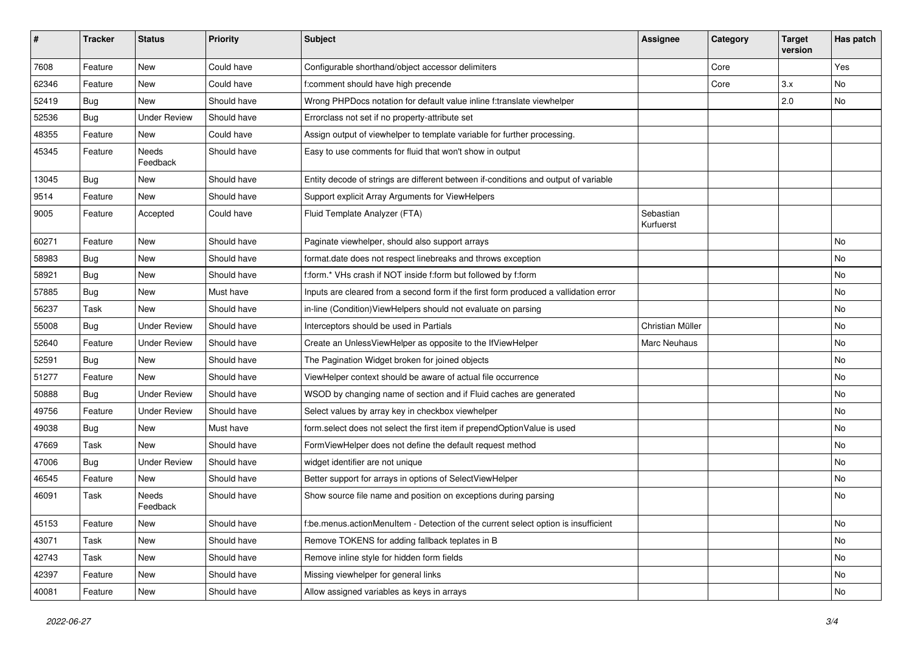| #     | <b>Tracker</b> | <b>Status</b>            | <b>Priority</b> | <b>Subject</b>                                                                       | Assignee               | Category | <b>Target</b><br>version | Has patch |
|-------|----------------|--------------------------|-----------------|--------------------------------------------------------------------------------------|------------------------|----------|--------------------------|-----------|
| 7608  | Feature        | New                      | Could have      | Configurable shorthand/object accessor delimiters                                    |                        | Core     |                          | Yes       |
| 62346 | Feature        | New                      | Could have      | f:comment should have high precende                                                  |                        | Core     | 3.x                      | No        |
| 52419 | <b>Bug</b>     | New                      | Should have     | Wrong PHPDocs notation for default value inline f:translate viewhelper               |                        |          | 2.0                      | No        |
| 52536 | Bug            | <b>Under Review</b>      | Should have     | Errorclass not set if no property-attribute set                                      |                        |          |                          |           |
| 48355 | Feature        | New                      | Could have      | Assign output of viewhelper to template variable for further processing.             |                        |          |                          |           |
| 45345 | Feature        | <b>Needs</b><br>Feedback | Should have     | Easy to use comments for fluid that won't show in output                             |                        |          |                          |           |
| 13045 | Bug            | New                      | Should have     | Entity decode of strings are different between if-conditions and output of variable  |                        |          |                          |           |
| 9514  | Feature        | New                      | Should have     | Support explicit Array Arguments for ViewHelpers                                     |                        |          |                          |           |
| 9005  | Feature        | Accepted                 | Could have      | Fluid Template Analyzer (FTA)                                                        | Sebastian<br>Kurfuerst |          |                          |           |
| 60271 | Feature        | <b>New</b>               | Should have     | Paginate viewhelper, should also support arrays                                      |                        |          |                          | No        |
| 58983 | <b>Bug</b>     | New                      | Should have     | format.date does not respect linebreaks and throws exception                         |                        |          |                          | No        |
| 58921 | Bug            | New                      | Should have     | f:form.* VHs crash if NOT inside f:form but followed by f:form                       |                        |          |                          | No        |
| 57885 | <b>Bug</b>     | New                      | Must have       | Inputs are cleared from a second form if the first form produced a vallidation error |                        |          |                          | No        |
| 56237 | Task           | New                      | Should have     | in-line (Condition) ViewHelpers should not evaluate on parsing                       |                        |          |                          | No        |
| 55008 | Bug            | <b>Under Review</b>      | Should have     | Interceptors should be used in Partials                                              | Christian Müller       |          |                          | No        |
| 52640 | Feature        | <b>Under Review</b>      | Should have     | Create an UnlessViewHelper as opposite to the IfViewHelper                           | Marc Neuhaus           |          |                          | No        |
| 52591 | Bug            | New                      | Should have     | The Pagination Widget broken for joined objects                                      |                        |          |                          | No        |
| 51277 | Feature        | New                      | Should have     | ViewHelper context should be aware of actual file occurrence                         |                        |          |                          | No        |
| 50888 | Bug            | <b>Under Review</b>      | Should have     | WSOD by changing name of section and if Fluid caches are generated                   |                        |          |                          | No        |
| 49756 | Feature        | <b>Under Review</b>      | Should have     | Select values by array key in checkbox viewhelper                                    |                        |          |                          | No        |
| 49038 | Bug            | New                      | Must have       | form.select does not select the first item if prependOptionValue is used             |                        |          |                          | No        |
| 47669 | Task           | New                      | Should have     | FormViewHelper does not define the default request method                            |                        |          |                          | No        |
| 47006 | Bug            | <b>Under Review</b>      | Should have     | widget identifier are not unique                                                     |                        |          |                          | No        |
| 46545 | Feature        | New                      | Should have     | Better support for arrays in options of SelectViewHelper                             |                        |          |                          | No        |
| 46091 | Task           | Needs<br>Feedback        | Should have     | Show source file name and position on exceptions during parsing                      |                        |          |                          | No        |
| 45153 | Feature        | New                      | Should have     | f:be.menus.actionMenuItem - Detection of the current select option is insufficient   |                        |          |                          | No        |
| 43071 | Task           | New                      | Should have     | Remove TOKENS for adding fallback teplates in B                                      |                        |          |                          | No        |
| 42743 | Task           | New                      | Should have     | Remove inline style for hidden form fields                                           |                        |          |                          | No        |
| 42397 | Feature        | New                      | Should have     | Missing viewhelper for general links                                                 |                        |          |                          | No        |
| 40081 | Feature        | New                      | Should have     | Allow assigned variables as keys in arrays                                           |                        |          |                          | No        |